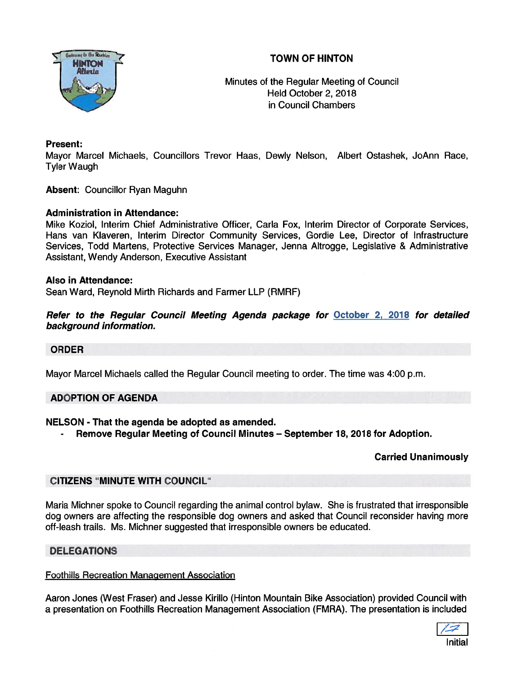# TOWN OF HINTON



Minutes of the Regular Meeting of Council Held October 2, 2078 in Council Chambers

# Present:

Mayor Marcel Michaels, Councillors Trevor Haas, Dewly Nelson, Albert Ostashek, JoAnn Race, Tyler Waugh

Absent: Councillor Ryan Maguhn

## Administration in Attendance:

Mike Koziol, Interim Chief Administrative Officer, Carla Fox, Interim Director of Corporate Services, Hans van Klaveren, Interim Director Community Services, Gordie Lee, Director of Infrastructure Services, Todd Martens, Protective Services Manager, Jenna Altrogge, Legislative & Administrative Assistant, Wendy Anderson, Executive Assistant

## Also in Attendance:

Sean Ward, Reynold Mirth Richards and Farmer LLP (RMRF)

Refer to the Regular Council Meeting Agenda package for October 2, 2018 for detailed background information.

#### ORDER

Mayor Marcel Michaels called the Regular Council meeting to order. The time was 4:00 p.m.

# ADOPTION OF AGENDA

# NELSON - That the agenda be adopted as amended.

Remove Regular Meeting of Council Minutes — September 18, 2018 for Adoption.

# Carried Unanimously

# CITIZENS "MINUTE WITH COUNCIL"

Maria Michner spoke to Council regarding the animal control bylaw. She is frustrated that irresponsible dog owners are affecting the responsible dog owners and asked that Council reconsider having more off-leash trails. Ms. Michner suggested that irresponsible owners be educated.

# DELEGATIONS

#### Foothills Recreation ManaQement Association

Aaron Jones (West Fraser) and Jesse Kirillo (Hinton Mountain Bike Association) provided Council with <sup>a</sup> presentation on Foothills Recreation Management Association (FMRA). The presentation is included

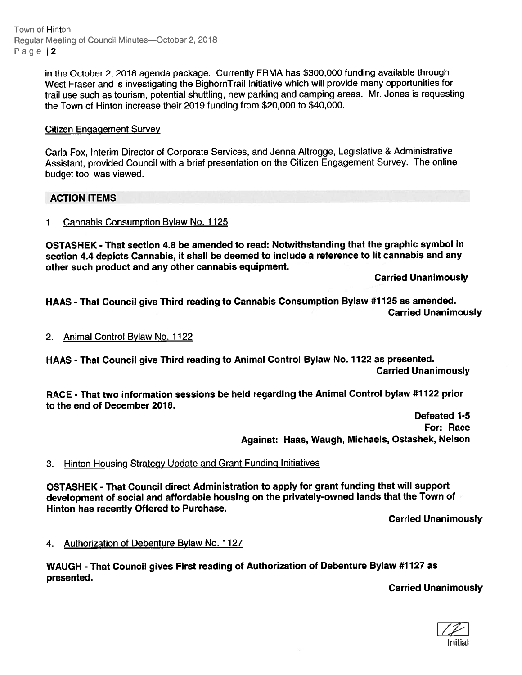Town of Hinton Regular Meeting of Council Minutes-October 2, 2018 Page | 2

> in the October 2, <sup>2018</sup> agenda package. Currently FRMA has \$300,000 funding available through West Fraser and is investigating the BighornTrail Initiative which will provide many opportunities for trail use such as tourism, potential shuttling, new parking and camping areas. Mr. Jones is requesting the Town of Hinton increase their 2019 funding from \$20,000 to \$40,000.

# Citizen Engagement Survey

Carla Fox, Interim Director of Corporate Services, and Jenna Altrogge, Legislative & Administrative Assistant, provided Council with <sup>a</sup> brief presentation on the Citizen Engagement Survey. The online budget tool was viewed.

## ACTION ITEMS

## 1. Cannabis Consumption Bylaw No. 1125

OSTASHEK - That section 4.8 be amended to read: Notwithstanding that the graphic symbol in section 4.4 depicts Cannabis, it shall be deemed to include <sup>a</sup> reference to lit cannabis and any other such product and any other cannabis equipment.

Carried Unanimously

HAAS - That Council <sup>g</sup>ive Third reading to Cannabis Consumption Bylaw #1125 as amended. Carried Unanimously

## 2. Animal Control Bylaw No. 1122

HAAS - That Council <sup>g</sup>ive Third reading to Animal Control Bylaw No. <sup>1122</sup> as presented. Carried Unanimously

RACE - That two information sessions be held regarding the Animal Control bylaw #1122 prior to the end of December 2018.

> Defeated 1-5 For: Race Against: Haas, Waugh, Michaels, Ostashek, Nelson

### 3. Hinton Housing Strategy Update and Grant Funding Initiatives

OSTASHEK - That Council direct Administration to apply for gran<sup>t</sup> funding that will suppor<sup>t</sup> development of social and affordable housing on the privately-owned lands that the Town of Hinton has recently Offered to Purchase.

Carried Unanimously

#### 4. Authorization of Debenture Bylaw No. 1127

WAUGH - That Council <sup>g</sup>ives First reading of Authorization of Debenture Bylaw #1127 as presented.

Carried Unanimously

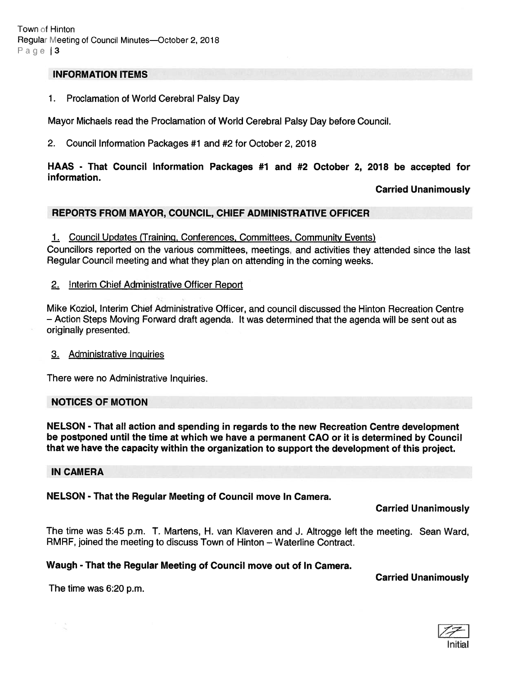### INFORMATION ITEMS

1. Proclamation of World Cerebral Palsy Day

Mayor Michaels read the Proclamation of World Cerebral Palsy Day before Council.

2. Council Information Packages #1 and #2 for October 2, 2018

# HAAS - That Council Information Packages #1 and #2 October 2, 2018 be accepted for information.

## Carried Unanimously

# REPORTS FROM MAYOR, COUNCIL, CHIEF ADMINISTRATIVE OFFICER

1. Council Updates (Training, Conferences, Committees, Community Events)

Councillors reported on the various committees, meetings, and activities they attended since the last Regular Council meeting and what they plan on attending in the coming weeks.

## 2. !nterim Chief Administrative Officer Report

Mike Koziol, Interim Chief Administrative Officer, and council discussed the Hinton Recreation Centre — Action Steps Moving Forward draft agenda. It was determined that the agenda will be sent out as originally presented.

#### 3. Administrative Inguiries

There were no Administrative Inquiries.

#### NOTICES OF MOTION

NELSON - That all action and spending in regards to the new Recreation Centre development be postponed until the time at which we have <sup>a</sup> permanen<sup>t</sup> CAO or it is determined by Council that we have the capacity within the organization to suppor<sup>t</sup> the development of this project.

### IN CAMERA

#### NELSON - That the Regular Meeting of Council move In Camera.

Carried Unanimously

The time was 5:45 p.m. T. Martens, H. van Klaveren and J. Altrogge left the meeting. Sean Ward, RMRF, joined the meeting to discuss Town of Hinton — Waterline Contract.

## Waugh - That the Regular Meeting of Council move out of In Camera.

#### Carried Unanimously

The time was 6:20 p.m.